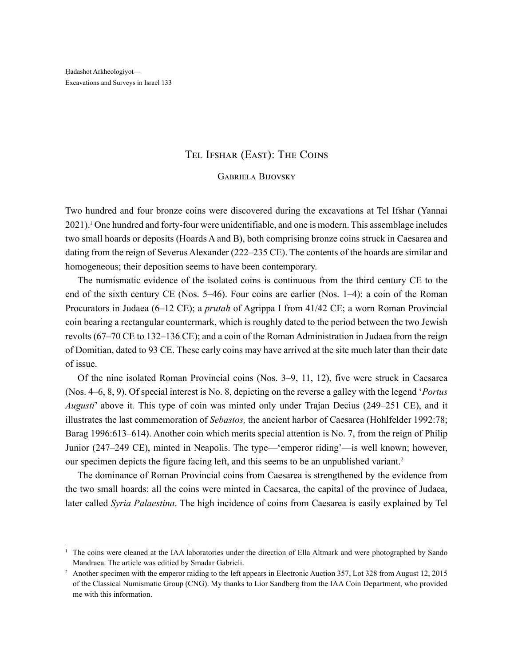## Tel Ifshar (East): The Coins

### Gabriela Bijovsky

Two hundred and four bronze coins were discovered during the excavations at Tel Ifshar (Yannai 2021).1 One hundred and forty-four were unidentifiable, and one is modern. This assemblage includes two small hoards or deposits (Hoards A and B), both comprising bronze coins struck in Caesarea and dating from the reign of Severus Alexander (222–235 CE). The contents of the hoards are similar and homogeneous; their deposition seems to have been contemporary.

The numismatic evidence of the isolated coins is continuous from the third century CE to the end of the sixth century CE (Nos. 5–46). Four coins are earlier (Nos. 1–4): a coin of the Roman Procurators in Judaea (6–12 CE); a *prutah* of Agrippa I from 41/42 CE; a worn Roman Provincial coin bearing a rectangular countermark, which is roughly dated to the period between the two Jewish revolts (67–70 CE to 132–136 CE); and a coin of the Roman Administration in Judaea from the reign of Domitian, dated to 93 CE. These early coins may have arrived at the site much later than their date of issue.

Of the nine isolated Roman Provincial coins (Nos. 3–9, 11, 12), five were struck in Caesarea (Nos. 4–6, 8, 9). Of special interest is No. 8, depicting on the reverse a galley with the legend '*Portus Augusti*' above it*.* This type of coin was minted only under Trajan Decius (249–251 CE), and it illustrates the last commemoration of *Sebastos,* the ancient harbor of Caesarea (Hohlfelder 1992:78; Barag 1996:613–614). Another coin which merits special attention is No. 7, from the reign of Philip Junior (247–249 CE), minted in Neapolis. The type—'emperor riding'—is well known; however, our specimen depicts the figure facing left, and this seems to be an unpublished variant.<sup>2</sup>

The dominance of Roman Provincial coins from Caesarea is strengthened by the evidence from the two small hoards: all the coins were minted in Caesarea, the capital of the province of Judaea, later called *Syria Palaestina*. The high incidence of coins from Caesarea is easily explained by Tel

<sup>&</sup>lt;sup>1</sup> The coins were cleaned at the IAA laboratories under the direction of Ella Altmark and were photographed by Sando Mandraea. The article was editied by Smadar Gabrieli.

<sup>&</sup>lt;sup>2</sup> Another specimen with the emperor raiding to the left appears in Electronic Auction 357, Lot 328 from August 12, 2015 of the Classical Numismatic Group (CNG). My thanks to Lior Sandberg from the IAA Coin Department, who provided me with this information.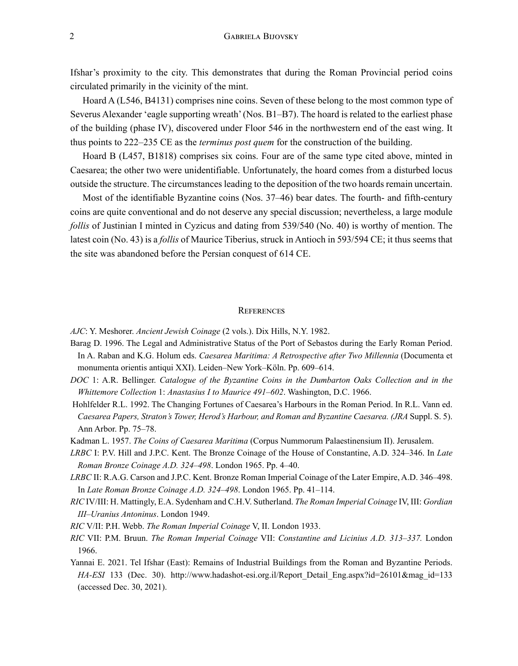Ifshar's proximity to the city. This demonstrates that during the Roman Provincial period coins circulated primarily in the vicinity of the mint.

Hoard A (L546, B4131) comprises nine coins. Seven of these belong to the most common type of Severus Alexander 'eagle supporting wreath' (Nos. B1–B7). The hoard is related to the earliest phase of the building (phase IV), discovered under Floor 546 in the northwestern end of the east wing. It thus points to 222–235 CE as the *terminus post quem* for the construction of the building.

Hoard B (L457, B1818) comprises six coins. Four are of the same type cited above, minted in Caesarea; the other two were unidentifiable. Unfortunately, the hoard comes from a disturbed locus outside the structure. The circumstances leading to the deposition of the two hoards remain uncertain.

Most of the identifiable Byzantine coins (Nos. 37–46) bear dates. The fourth- and fifth-century coins are quite conventional and do not deserve any special discussion; nevertheless, a large module *follis* of Justinian I minted in Cyzicus and dating from 539/540 (No. 40) is worthy of mention. The latest coin (No. 43) is a *follis* of Maurice Tiberius, struck in Antioch in 593/594 CE; it thus seems that the site was abandoned before the Persian conquest of 614 CE.

#### **REFERENCES**

*AJC*: Y. Meshorer. *Ancient Jewish Coinage* (2 vols.). Dix Hills, N.Y. 1982.

- Barag D. 1996. The Legal and Administrative Status of the Port of Sebastos during the Early Roman Period. In A. Raban and K.G. Holum eds. *Caesarea Maritima: A Retrospective after Two Millennia* (Documenta et monumenta orientis antiqui XXI). Leiden–New York–Köln. Pp. 609–614.
- *DOC* 1: A.R. Bellinger. *Catalogue of the Byzantine Coins in the Dumbarton Oaks Collection and in the Whittemore Collection* 1: *Anastasius I to Maurice 491–602*. Washington, D.C. 1966.
- Hohlfelder R.L. 1992. The Changing Fortunes of Caesarea's Harbours in the Roman Period. In R.L. Vann ed. *Caesarea Papers, Straton's Tower, Herod's Harbour, and Roman and Byzantine Caesarea. (JRA* Suppl. S. 5). Ann Arbor. Pp. 75–78.
- Kadman L. 1957. *The Coins of Caesarea Maritima* (Corpus Nummorum Palaestinensium II). Jerusalem.
- *LRBC* I: P.V. Hill and J.P.C. Kent. The Bronze Coinage of the House of Constantine, A.D. 324*–*346. In *Late Roman Bronze Coinage A.D. 324–498*. London 1965. Pp. 4*–*40.
- *LRBC* II: R.A.G. Carson and J.P.C. Kent. Bronze Roman Imperial Coinage of the Later Empire, A.D. 346*–*498. In *Late Roman Bronze Coinage A.D. 324–498*. London 1965. Pp. 41*–*114.
- *RIC* IV/III: H. Mattingly, E.A. Sydenham and C.H.V. Sutherland. *The Roman Imperial Coinage* IV, III: *Gordian III–Uranius Antoninus*. London 1949.
- *RIC* V/II: P.H. Webb. *The Roman Imperial Coinage* V, II. London 1933.
- *RIC* VII: P.M. Bruun. *The Roman Imperial Coinage* VII: *Constantine and Licinius A.D. 313–337.* London 1966.
- Yannai E. 2021. Tel Ifshar (East): Remains of Industrial Buildings from the Roman and Byzantine Periods. *HA-ESI* 133 (Dec. 30). http://www.hadashot-esi.org.il/Report\_Detail\_Eng.aspx?id=26101&mag\_id=133 (accessed Dec. 30, 2021).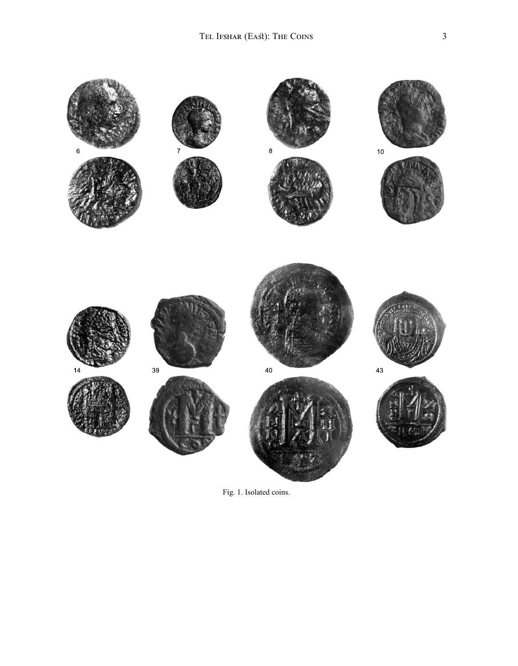

Fig. 1. Isolated coins.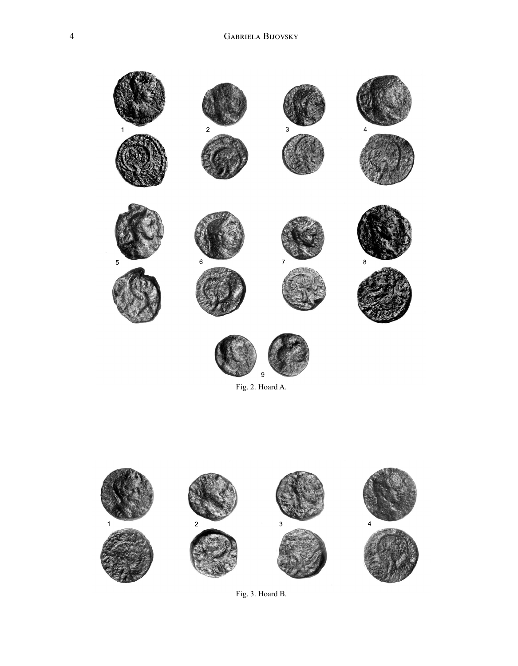



Fig. 3. Hoard B.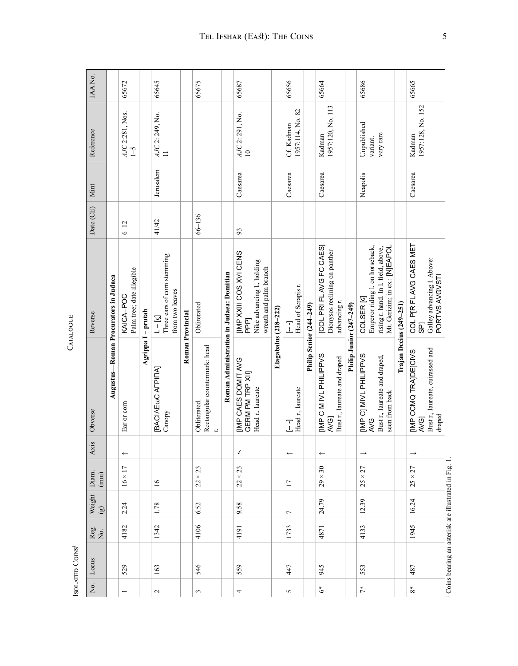|                      | ISOLATED COINS                                    |             |                          |                   |              |                                                                                 | <b>CAIALUGUE</b>                                                                                                                 |            |           |                                      |        |
|----------------------|---------------------------------------------------|-------------|--------------------------|-------------------|--------------|---------------------------------------------------------------------------------|----------------------------------------------------------------------------------------------------------------------------------|------------|-----------|--------------------------------------|--------|
| Σó,                  | Locus                                             | Reg.<br>No. | Weight<br>$\circledcirc$ | Diam.<br>(mm)     | Axis         | Obverse                                                                         | Reverse                                                                                                                          | Date (CE)  | Mint      | Reference                            | IAANo. |
|                      |                                                   |             |                          |                   |              |                                                                                 | Augustus-Roman Procurators in Judaea                                                                                             |            |           |                                      |        |
| $\overline{ }$       | 529                                               | 4182        | 2.24                     | $16 \times 17$    | $\leftarrow$ | Ear or corn                                                                     | Palm tree; date illegible<br>KAICA-POC                                                                                           | $6 - 12$   |           | AJC 2:281, Nos.<br>$1 - 5$           | 65672  |
|                      |                                                   |             |                          |                   |              |                                                                                 | Agrippa I - prutah                                                                                                               |            |           |                                      |        |
| $\sim$               | 163                                               | 1342        | 1.78                     | 16                |              | [BACI/NEWC ALPILIA]<br>Canopy                                                   | Three ears of corn stemming<br>from two leaves<br>$\lbrack 2 \rbrack - \rbrack$                                                  | 41/42      | Jerusalem | AJC 2: 249, No.<br>$\Box$            | 65645  |
|                      |                                                   |             |                          |                   |              |                                                                                 | Roman Provincial                                                                                                                 |            |           |                                      |        |
| 3                    | 546                                               | 4106        | 6.52                     | $\times$ 23<br>22 |              | Rectangular countermark: head<br>Obliterated.<br>$\ddot{r}$                     | Obliterated                                                                                                                      | $66 - 136$ |           |                                      | 65675  |
|                      |                                                   |             |                          |                   |              |                                                                                 | Roman Administration in Judaea: Domitian                                                                                         |            |           |                                      |        |
| 4                    | 559                                               | 4191        | 9.58                     | $\times$ 23<br>22 | ↙            | <b>IIMP CAES DOMIT AVG</b><br>GERM PM TRP XII]<br>Head r., laureate             | <b>IMP XXIII COS XVI CENS</b><br>Nike advancing l., holding<br>wreath and palm branch<br><b>PPP</b>                              | 93         | Caesarea  | AJC 2: 291, No.<br>$\overline{10}$   | 65687  |
|                      |                                                   |             |                          |                   |              |                                                                                 | Elagabalus (218-222)                                                                                                             |            |           |                                      |        |
| 5                    | 447                                               | 1733        | $\overline{ }$           | $\overline{17}$   | $\leftarrow$ | Head r., laureate<br>I                                                          | Head of Serapis r.<br>I                                                                                                          |            | Caesarea  | 1957:114, No. 82<br>Cf. Kadnan       | 65656  |
|                      |                                                   |             |                          |                   |              |                                                                                 | Philip Senior (244–249)                                                                                                          |            |           |                                      |        |
| \$                   | 945                                               | 4871        | 24.79                    | $\times 30$<br>29 | $\leftarrow$ | IMP C M IVL PHILIPPVS<br>Bust r., laureate and draped<br>AVG                    | [COL PRI FLAVG FC CAES]<br>Dionysos reclining on panther<br>advancing r.                                                         |            | Caesarea  | 1957:120, No. 113<br>Kadnan          | 65664  |
|                      |                                                   |             |                          |                   |              |                                                                                 | Philip Junior (247-249)                                                                                                          |            |           |                                      |        |
| $\stackrel{*}{\tau}$ | 553                                               | 4133        | 12.39                    | $25 \times 27$    |              | IMP CI MIVL PHILIPPVS<br>Bust r., laureate and draped,<br>seen from back<br>AVG | Emperor riding l. on horseback,<br>Mt. Gerizim; in ex.: [N]EAPOL<br>rising r. hand. In l. field, above,<br>COLSER <sub>[4]</sub> |            | Neapolis  | Unpublished<br>very rare<br>variant. | 65686  |
|                      |                                                   |             |                          |                   |              |                                                                                 | Trajan Decius (249-251)                                                                                                          |            |           |                                      |        |
| $\rm{^*}$            | 487                                               | 1945        | 16.24                    | $\times$ 27<br>25 |              | [IMP CCMQ TRA]DE[CIVS<br>AVG <sub>I</sub>                                       | COL P[R FLAVG CAES MET<br><b>GPT</b>                                                                                             |            | Caesarea  | 1957:128, No. 152<br>Kadman          | 65665  |
|                      |                                                   |             |                          |                   |              | Bust r., laureate, cuirassed and<br>draped                                      | Galley advancing l. Above:<br>PORTVS AVGVSTI                                                                                     |            |           |                                      |        |
|                      | Coins bearing an asterisk are illustrated in Fig. |             |                          |                   |              |                                                                                 |                                                                                                                                  |            |           |                                      |        |

CATALOGUE Catalogue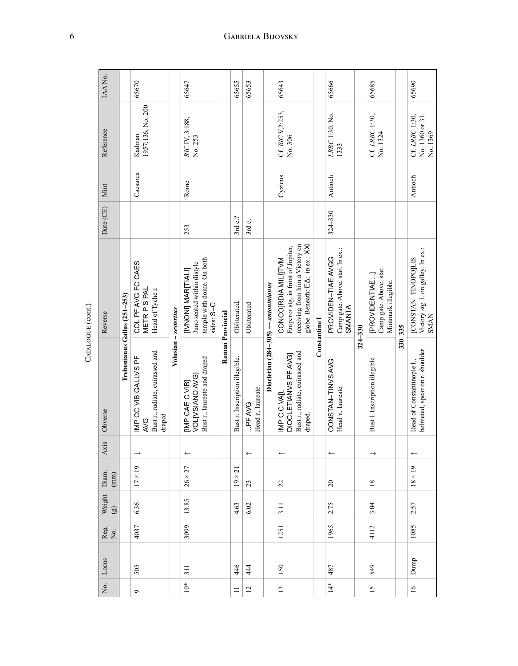| IAANo.            |                              | 65670                                                                   |                       | 65647                                                                                             |                  | 65655                          | 65653                        |                                       | 65643                                                                                                                         |               | 65666                                                                                                                                                                           |             | 65685                                                            |             | 65690                                                                    |
|-------------------|------------------------------|-------------------------------------------------------------------------|-----------------------|---------------------------------------------------------------------------------------------------|------------------|--------------------------------|------------------------------|---------------------------------------|-------------------------------------------------------------------------------------------------------------------------------|---------------|---------------------------------------------------------------------------------------------------------------------------------------------------------------------------------|-------------|------------------------------------------------------------------|-------------|--------------------------------------------------------------------------|
| Reference         |                              | 1957:136, No. 200<br>Kadman                                             |                       | RICIV, 3:188,<br>No. 253                                                                          |                  |                                |                              |                                       | Cf. RIC V, 2:253,<br>No. 306                                                                                                  |               | LRBC 1:30, No.<br>1333                                                                                                                                                          |             | Cf. LRBC 1:30,<br>No. 1324                                       |             | No. 1360 or 31,<br>Cf. LRBC 1:30,<br>No. 1369                            |
| Mint              |                              | Caesarea                                                                |                       | Rome                                                                                              |                  |                                |                              |                                       | Cyzicus                                                                                                                       |               | Antioch                                                                                                                                                                         |             |                                                                  |             | Antioch                                                                  |
| Date (CE)         |                              |                                                                         |                       | 253                                                                                               |                  | 3rd c.?                        | 3rd c.                       |                                       |                                                                                                                               |               | $324 - 330$                                                                                                                                                                     |             |                                                                  |             |                                                                          |
| Reverse           | Trebonianus Gallus (251-253) | COL PF AVG FC CAES<br>METR PS PAL<br>Head of Tycher.                    | Volusian - sestertius | temple with dome. On both<br>Juno seated within distyle<br><b>IVNONII MARITIALI</b><br>sides: S-C |                  | Obliterated.                   | Obliterated                  |                                       | receiving from him a Victory on<br>globe. Beneath: EA; in ex.: XXI<br>Emperor stg. in front of Jupiter,<br>CONCO[RDIA MILITVM |               | Camp gate. Above, star. In ex.:<br>PROVIDEN-TIAE AVGG<br>SMANTA                                                                                                                 |             | Camp gate. Above, star.<br>[PROVIDENTIAE]<br>Mintmark illegible. | $330 - 335$ | Victory stg. l. on galley. In ex.:<br>[CONSTAN-TINOPOJLIS<br><b>SMAN</b> |
| Obverse           |                              | Bust r., radiate, cuirassed and<br>MP CC VIB GALLVS PF<br>draped<br>AVG |                       | Bust r., laureate and draped<br>VOLNSIANO AVGI<br>[IMP CAE C VIB]                                 | Roman Provincial | Bust r. Inscription illegible. | Head r., laureate.<br>PF AVG | Diocletian $(284-305)$ - antoninianus | Bust r., radiate, cuirassed and<br>DIOCLETIANVS PF AVGI<br>IMP C C VAIL<br>draped.                                            | Constantine I | CONSTAN-TINVS<br>ONS<br>ONS TAN-TINVS<br>ONS<br>ONS<br><br><br><br><br><br><br><br><br><br><br><br><br><br><br><br><br><br><br><<<<<<<<<<<<<<<<<<<<<<<<<<<<br>Head r., laureate | $324 - 330$ | Bust I. Inscription illegible                                    |             | helmeted, spear on r. shoulder<br>Head of Constantinople 1.,             |
| Axis              |                              |                                                                         |                       |                                                                                                   |                  |                                |                              |                                       |                                                                                                                               |               |                                                                                                                                                                                 |             |                                                                  |             |                                                                          |
| Diam.<br>(mm)     |                              | $17 \times 19$                                                          |                       | 26 × 27                                                                                           |                  | $\overline{c}$<br>$19\times$   | 23                           |                                       | 22                                                                                                                            |               | $\overline{c}$                                                                                                                                                                  |             | $18\,$                                                           |             | $18 \times 19$                                                           |
| Weight<br>$\odot$ |                              | 6.36                                                                    |                       | 13.85                                                                                             |                  | 4.63                           | 6.02                         |                                       | 3.11                                                                                                                          |               | 2.75                                                                                                                                                                            |             | 3.04                                                             |             | 2.57                                                                     |
| Reg.<br>No.       |                              | 4037                                                                    |                       | 3099                                                                                              |                  |                                |                              |                                       | 1251                                                                                                                          |               | 1965                                                                                                                                                                            |             | 4112                                                             |             | 1085                                                                     |
| Locus             |                              | 505                                                                     |                       | 311                                                                                               |                  | 446                            | 444                          |                                       | 150                                                                                                                           |               | 487                                                                                                                                                                             |             | 549                                                              |             | Dunp                                                                     |
| Σó.               |                              | Ó                                                                       |                       | $10*$                                                                                             |                  | $\Box$                         | $\overline{c}$               |                                       | 13                                                                                                                            |               | $\frac{4}{14}$                                                                                                                                                                  |             | 15                                                               |             | $\overline{16}$                                                          |

CATALOGUE (cont.) Catalogue (cont.)

# 6 Gabriela Bijovsky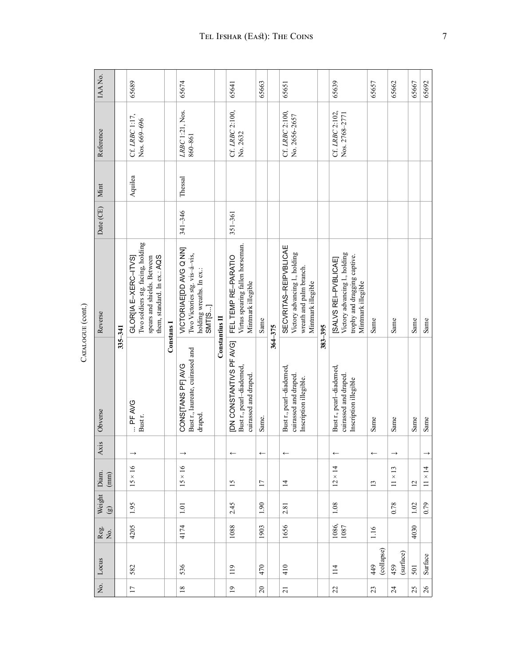| IAANo.                                                         |         | 65689                                                                                                                   |                   | 65674                                                                                         |                | 65641                                                                         | 65663           |             | 65651                                                                                                   |             | 65639                                                                                                       | 65657             | 65662                   | 65667 | 65692          |
|----------------------------------------------------------------|---------|-------------------------------------------------------------------------------------------------------------------------|-------------------|-----------------------------------------------------------------------------------------------|----------------|-------------------------------------------------------------------------------|-----------------|-------------|---------------------------------------------------------------------------------------------------------|-------------|-------------------------------------------------------------------------------------------------------------|-------------------|-------------------------|-------|----------------|
| Reference                                                      |         | Cf. LRBC 1:17,<br>Nos. 669-696                                                                                          |                   | LRBC 1:21, Nos.<br>860-861                                                                    |                | Cf. LRBC 2:100,<br>No. 2632                                                   |                 |             | Cf. LRBC 2:100,<br>No. 2656-2657                                                                        |             | Cf. LRBC 2:102,<br>Nos. 2768-2771                                                                           |                   |                         |       |                |
| Mint                                                           |         | Aquilea                                                                                                                 |                   | Thessal                                                                                       |                |                                                                               |                 |             |                                                                                                         |             |                                                                                                             |                   |                         |       |                |
| Date (CE)                                                      |         |                                                                                                                         |                   | 341-346                                                                                       |                | 351-361                                                                       |                 |             |                                                                                                         |             |                                                                                                             |                   |                         |       |                |
| Reverse                                                        |         | Two soldiers stg. facing, holding<br>them, standard. In ex.: AQS<br>GLOR[IA E-XERC-ITVS]<br>spears and shields. Between |                   | VICTORIAE[DD AVG Q NN]<br>Two Victories stg. vis-á-vis,<br>holding wreaths. In ex.:<br>SMT[S] |                | Virtus spearing fallen horseman.<br>FEL TEMP RE-PARATIO<br>Mintmark illegible | Same            |             | SECVRITAS-REIPVBLICAE<br>Victory advancing l., holding<br>wreath and palm branch.<br>Mintmark illegible |             | Victory advancing l., holding<br>trophy and dragging captive.<br>[SALVS REI-PVBLICAE]<br>Mintmark illegible | Same              | Same                    | Same  | Same           |
| Obverse                                                        | 335-341 | PF AVG<br>Bust r.                                                                                                       | <b>Constans</b> I | Bust r., laureate, cuirassed and<br>CONS[TANS PF] AVG<br>draped.                              | Constantius II | IDN CONSTANTIVS PF AVG]<br>Bust r., pearl-diademed,<br>cuirassed and draped.  | Same.           | $364 - 375$ | Bust r., pearl-diademed,<br>cuirassed and draped.<br>Inscription illegible.                             | $383 - 395$ | Bust r., pearl-diademed,<br>cuirassed and draped.<br>Inscription illegible                                  | Same              | Same                    | Same  | Same           |
| Axis                                                           |         |                                                                                                                         |                   |                                                                                               |                |                                                                               | $\leftarrow$    |             | $\leftarrow$                                                                                            |             |                                                                                                             | $\leftarrow$      |                         |       |                |
| Diam.<br>(mm)                                                  |         | $15 \times 16$                                                                                                          |                   | $15 \times 16$                                                                                |                | 15                                                                            | $\overline{17}$ |             | $\overline{1}$                                                                                          |             | $12 \times 14$                                                                                              | 13                | $\times$ 13<br>$\equiv$ | 12    | $11 \times 14$ |
| Weight $\left(\begin{smallmatrix}g\\g\end{smallmatrix}\right)$ |         | 1.95                                                                                                                    |                   | $1.01\,$                                                                                      |                | 2.45                                                                          | 1.90            |             | 2.81                                                                                                    |             | 1.08                                                                                                        |                   | 0.78                    | 1.02  | 0.79           |
| Reg.<br>No.                                                    |         | 4205                                                                                                                    |                   | 4174                                                                                          |                | 1088                                                                          | 1903            |             | 1656                                                                                                    |             | 1086,<br>1087                                                                                               | 1.16              |                         | 4030  |                |
| Locus                                                          |         | 582                                                                                                                     |                   | 536                                                                                           |                | 119                                                                           | 470             |             | 410                                                                                                     |             | 114                                                                                                         | (collapse)<br>449 | (surface)<br>459        | 501   | Surface        |
| $\rm \dot{z}$                                                  |         | $\overline{17}$                                                                                                         |                   | $18\,$                                                                                        |                | $\overline{19}$                                                               | $\Omega$        |             | $\overline{c}$                                                                                          |             | 22                                                                                                          | 23                | $\overline{24}$         | 25    | $26\,$         |
|                                                                |         |                                                                                                                         |                   |                                                                                               |                |                                                                               |                 |             |                                                                                                         |             |                                                                                                             |                   |                         |       |                |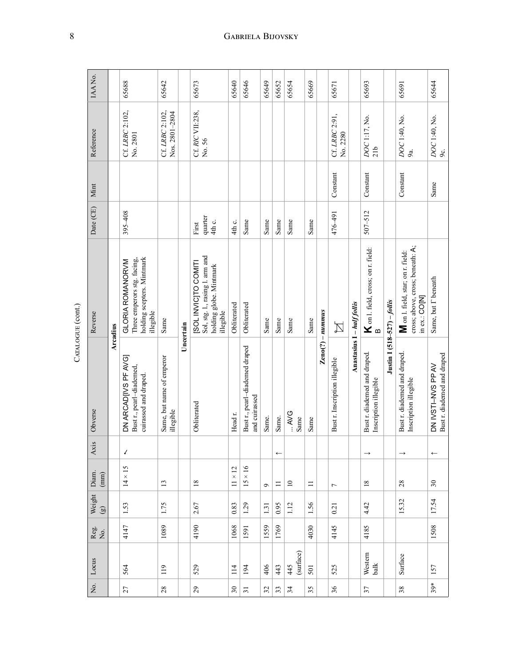| IAANo.                  |                 | 65688                                                                                      | 65642                                  |           | 65673                                                                                           | 65640                                | 65646                                           | 65649    | 65652        | 65654              | 65669  |                                              | 65671                         |                            | 65693                                                 |                             | 65691                                                                                  | 65644                                             |
|-------------------------|-----------------|--------------------------------------------------------------------------------------------|----------------------------------------|-----------|-------------------------------------------------------------------------------------------------|--------------------------------------|-------------------------------------------------|----------|--------------|--------------------|--------|----------------------------------------------|-------------------------------|----------------------------|-------------------------------------------------------|-----------------------------|----------------------------------------------------------------------------------------|---------------------------------------------------|
| Reference               |                 | Cf. LRBC 2:102,<br>No. 2801                                                                | Cf. LRBC 2:102,<br>Nos. 2801-2804      |           | Cf. RIC VII:238,<br>No.56                                                                       |                                      |                                                 |          |              |                    |        |                                              | Cf. LRBC 2:91,<br>No. 2280    |                            | DOC1:17, No.<br>21 <sub>b</sub>                       |                             | DOC1:40, No.<br>9a.                                                                    | $DOC$ 1:40, No.<br>9c.                            |
| Mint                    |                 |                                                                                            |                                        |           |                                                                                                 |                                      |                                                 |          |              |                    |        |                                              | Constant                      |                            | Constant                                              |                             | Constant                                                                               | Same                                              |
| Date (CE)               |                 | $395 - 408$                                                                                |                                        |           | quarter<br>4th c.<br>First                                                                      | 4th c.                               | Same                                            | Same     | Same         | Same               | Same   |                                              | 476-491                       |                            | $507 - 512$                                           |                             |                                                                                        |                                                   |
| Reverse                 |                 | holding scepters. Mintmark<br>Three emperors stg. facing,<br>GLORIA ROMANORVM<br>illegible | Same                                   |           | Sol, stg. l., rasing l. arm and<br>ISOL INVICITO COMITI<br>holding globe. Mintmark<br>illegible | Obliterated                          | Obliterated                                     | Same     | Same         | Same               | Same   |                                              | $\boxtimes$                   |                            | $\mathsf K$ on 1. field, cross; on 1. field:<br>B     | Justin I (518-527) – follis | cross; above, cross; beneath: A;<br>M on l. field, star; on r. field:<br>in ex.: CO[N] | Same, but I beneath                               |
| Obverse                 | <b>Arcadius</b> | DN ARCADIIVS PF AVGI<br>Bust r., pearl-diademed,<br>cuirassed and draped.                  | Same, but name of emperor<br>illegible | Uncertain | Obliterated                                                                                     | Head r.                              | Bust r., pearl-diademed draped<br>and cuirassed | Same.    | Same.        | <b>AVG</b><br>Same | Same   | $\mathbf{Z}\text{eno}(?) - \mathbf{n}$ ummus | Bust r. Inscription illegible | Anastasius I - half follis | Bust r. diademed and draped.<br>Inscription illegible |                             | Bust r. diademed and draped.<br>Inscription illegible                                  | Bust r. diademed and draped<br>DN IVSTI-NVS PP AV |
| Axis                    |                 | ↙                                                                                          |                                        |           |                                                                                                 |                                      |                                                 |          | $\leftarrow$ |                    |        |                                              |                               |                            |                                                       |                             |                                                                                        |                                                   |
| Diam.<br>(mm)           |                 | $14 \times 15$                                                                             | 13                                     |           | $18\,$                                                                                          | $\overline{c}$<br>$\times$<br>$\Box$ | $\times$ 16<br>15                               | $\sigma$ | $\equiv$     | $\overline{10}$    | $\Box$ |                                              | $\overline{ }$                |                            | 18                                                    |                             | 28                                                                                     | $30\,$                                            |
| Weight<br>$\circled{g}$ |                 | 1.53                                                                                       | 1.75                                   |           | 2.67                                                                                            | 0.83                                 | 1.29                                            | 1.31     | 0.95         | 1.12               | 1.56   |                                              | 0.21                          |                            | 4.42                                                  |                             | 15.32                                                                                  | 17.54                                             |
| Reg.<br>No.             |                 | 4147                                                                                       | 1089                                   |           | 4190                                                                                            | 1068                                 | 1591                                            | 1559     | 1769         |                    | 4030   |                                              | 4145                          |                            | 4185                                                  |                             |                                                                                        | 1508                                              |
| Locus                   |                 | 564                                                                                        | 119                                    |           | 529                                                                                             | 114                                  | 194                                             | 406      | 443          | (surface)<br>445   | 501    |                                              | 525                           |                            | Western<br>balk                                       |                             | Surface                                                                                | 157                                               |
| Χo.                     |                 | 27                                                                                         | 28                                     |           | 29                                                                                              | $30\,$                               | $\overline{31}$                                 | 32       | 33           | 34                 | 35     |                                              | 36                            |                            | 37                                                    |                             | 38                                                                                     | $39*$                                             |

CATALOGUE (cont.) Catalogue (cont.)

# 8 **GABRIELA BIJOVSKY**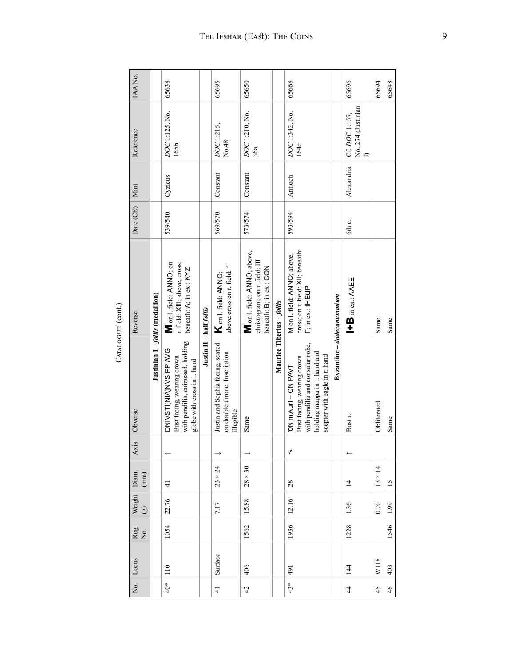| IAANo.                              |                                | 65638                                                                                                               |                         | 65695                                                                          | 65650                                                                                   |                           | 65668                                                                                                                                                 |                           | 65696                                | 65694          | 65648         |
|-------------------------------------|--------------------------------|---------------------------------------------------------------------------------------------------------------------|-------------------------|--------------------------------------------------------------------------------|-----------------------------------------------------------------------------------------|---------------------------|-------------------------------------------------------------------------------------------------------------------------------------------------------|---------------------------|--------------------------------------|----------------|---------------|
| Reference                           |                                | DOC1:125, No.<br>165b.                                                                                              |                         | DOC1:215,<br>No.48.                                                            | DOC1:210, No.<br>36a.                                                                   |                           | DOC1:342, No.<br>164c.                                                                                                                                |                           | No. 274 (Justinian<br>Cf. DOC 1:157, |                |               |
| Mint                                |                                | Cyzicus                                                                                                             |                         | Constant                                                                       | Constant                                                                                |                           | Antioch                                                                                                                                               |                           | Alexandria                           |                |               |
| Date (CE)                           |                                | 539/540                                                                                                             |                         | 569/570                                                                        | 573/574                                                                                 |                           | 593/594                                                                                                                                               |                           | 6th c.                               |                |               |
| Reverse                             |                                | r. field: XIII; above, cross;<br>M on 1. field: ANNO; on<br>beneath: A; in ex.: KYZ                                 |                         | above:cross on r. field: 1<br>A on 1. field: ANNO;                             | M on l. field: ANNO; above,<br>christogram; on r. field: III<br>beneath: B, in ex.: CON |                           | cross; on r. field: XII; beneath:<br>M on 1. field: ANNO; above,<br>$\Gamma$ ; in ex.: tHEUP                                                          |                           | $H = B$ in ex.: ANE                  | Same           | Same          |
| Obverse                             | Justinian I-follis (medallion) | with pendilia, cuirassed, holding<br>DNIVSTINANS PPAVG<br>Bust facing, wearing crown<br>globe with cross in l. hand | Justin II - half follis | Justin and Sophia facing, seated<br>on double throne. Inscription<br>illegible | Same                                                                                    | Maurice Tiberius - follis | with pendilia and consular robe,<br>holding mappa in l. hand and<br>scepter with eagle in r. hand<br>Bust facing, wearing crown<br>DN mAurl - CN PAVT | Byzantine – dodecanummium | Bust r.                              | Obliterated    | Same          |
| Axis                                |                                |                                                                                                                     |                         |                                                                                |                                                                                         |                           | 1                                                                                                                                                     |                           |                                      |                |               |
| Diam.<br>(mm)                       |                                | $\frac{1}{4}$                                                                                                       |                         | $23 \times 24$                                                                 | $28 \times 30$                                                                          |                           | 28                                                                                                                                                    |                           | $\overline{1}$                       | $13 \times 14$ | 15            |
| Weight<br>$\odot$                   |                                | 22.76                                                                                                               |                         | 7.17                                                                           | 15.88                                                                                   |                           | 12.16                                                                                                                                                 |                           | 1.36                                 | 0.70           | 1.99          |
| Reg.<br>No.                         |                                | 1054                                                                                                                |                         |                                                                                | 1562                                                                                    |                           | 1936                                                                                                                                                  |                           | 1228                                 |                | 1546          |
| Locus                               |                                | 110                                                                                                                 |                         | Surface                                                                        | 406                                                                                     |                           | 491                                                                                                                                                   |                           | 144                                  | W118           | 403           |
| $\overline{\widetilde{\mathbf{z}}}$ |                                | $40*$                                                                                                               |                         | $\frac{1}{4}$                                                                  | $\overline{4}$                                                                          |                           | $43*$                                                                                                                                                 |                           | $\ddot{4}$                           | 45             | $\frac{4}{6}$ |

CATALOGUE<sup>'</sup> (cont.) CATALOGUE<sup>(cont.)</sup>